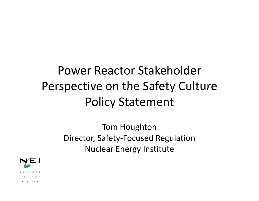## Power Reactor Stakeholder Perspective on the Safety Culture Policy Statement

Tom Houghton Director, Safety-Focused Regulation Nuclear Energy Institute

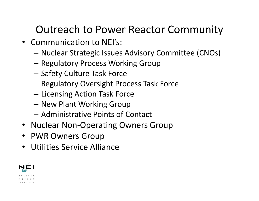## **Outreach to Power Reactor Community**

- Communication to NEI's:
	- Nuclear Strategic Issues Advisory Committee (CNOs)
	- Regulatory Process Working Group
	- Safety Culture Task Force
	- Regulatory Oversight Process Task Force
	- Licensing Action Task Force
	- New Plant Working Group
	- Administrative Points of Contact
- Nuclear Non-Operating Owners Group
- PWR Owners Group
- Utilities Service Alliance

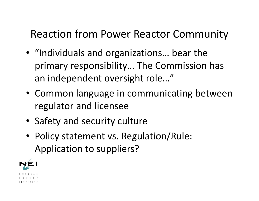#### Reaction from Power Reactor Community

- "Individuals and organizations… bear the primary responsibility… The Commission has an independent oversight role…"
- Common language in communicating between regulator and licensee
- Safety and security culture
- Policy statement vs. Regulation/Rule: Application to suppliers?

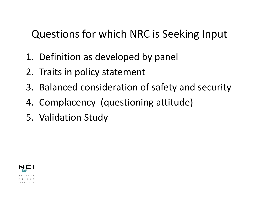## Questions for which NRC is Seeking Input

- 1. Definition as developed by panel
- 2. Traits in policy statement
- 3. Balanced consideration of safety and security
- 4. Complacency (questioning attitude)
- 5. Validation Study

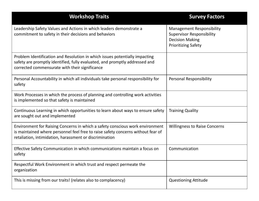| <b>Workshop Traits</b>                                                                                                                                                                                                       | <b>Survey Factors</b>                                                                                                        |
|------------------------------------------------------------------------------------------------------------------------------------------------------------------------------------------------------------------------------|------------------------------------------------------------------------------------------------------------------------------|
| Leadership Safety Values and Actions in which leaders demonstrate a<br>commitment to safety in their decisions and behaviors                                                                                                 | <b>Management Responsibility</b><br><b>Supervisor Responsibility</b><br><b>Decision Making</b><br><b>Prioritizing Safety</b> |
| Problem Identification and Resolution in which issues potentially impacting<br>safety are promptly identified, fully evaluated, and promptly addressed and<br>corrected commensurate with their significance                 |                                                                                                                              |
| Personal Accountability in which all individuals take personal responsibility for<br>safety                                                                                                                                  | <b>Personal Responsibility</b>                                                                                               |
| Work Processes in which the process of planning and controlling work activities<br>is implemented so that safety is maintained                                                                                               |                                                                                                                              |
| Continuous Learning in which opportunities to learn about ways to ensure safety<br>are sought out and implemented                                                                                                            | <b>Training Quality</b>                                                                                                      |
| Environment for Raising Concerns in which a safety conscious work environment<br>is maintained where personnel feel free to raise safety concerns without fear of<br>retaliation, intimidation, harassment or discrimination | <b>Willingness to Raise Concerns</b>                                                                                         |
| Effective Safety Communication in which communications maintain a focus on<br>safety                                                                                                                                         | Communication                                                                                                                |
| Respectful Work Environment in which trust and respect permeate the<br>organization                                                                                                                                          |                                                                                                                              |
| This is missing from our traits! (relates also to complacency)                                                                                                                                                               | <b>Questioning Attitude</b>                                                                                                  |